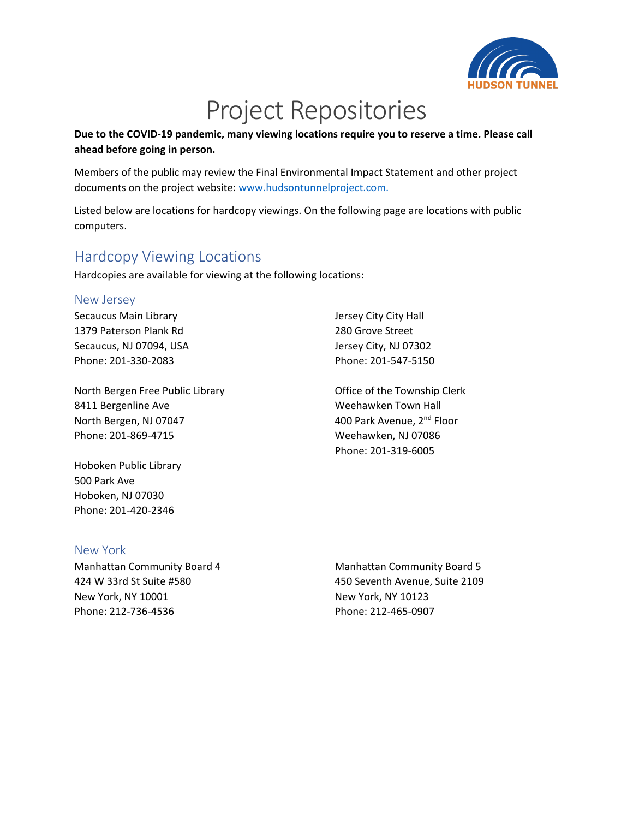

# Project Repositories

**Due to the COVID-19 pandemic, many viewing locations require you to reserve a time. Please call ahead before going in person.** 

Members of the public may review the Final Environmental Impact Statement and other project documents on the project website: [www.hudsontunnelproject.com.](http://www.hudsontunnelproject.com/)

Listed below are locations for hardcopy viewings. On the following page are locations with public computers.

### Hardcopy Viewing Locations

Hardcopies are available for viewing at the following locations:

#### New Jersey

Secaucus Main Library 1379 Paterson Plank Rd Secaucus, NJ 07094, USA Phone: 201-330-2083

North Bergen Free Public Library 8411 Bergenline Ave North Bergen, NJ 07047 Phone: 201-869-4715

Hoboken Public Library 500 Park Ave Hoboken, NJ 07030 Phone: 201-420-2346

#### Jersey City City Hall 280 Grove Street Jersey City, NJ 07302 Phone: 201-547-5150

Office of the Township Clerk Weehawken Town Hall 400 Park Avenue, 2<sup>nd</sup> Floor Weehawken, NJ 07086 Phone: 201-319-6005

#### New York

Manhattan Community Board 4 424 W 33rd St Suite #580 New York, NY 10001 Phone: 212-736-4536

Manhattan Community Board 5 450 Seventh Avenue, Suite 2109 New York, NY 10123 Phone: 212-465-0907